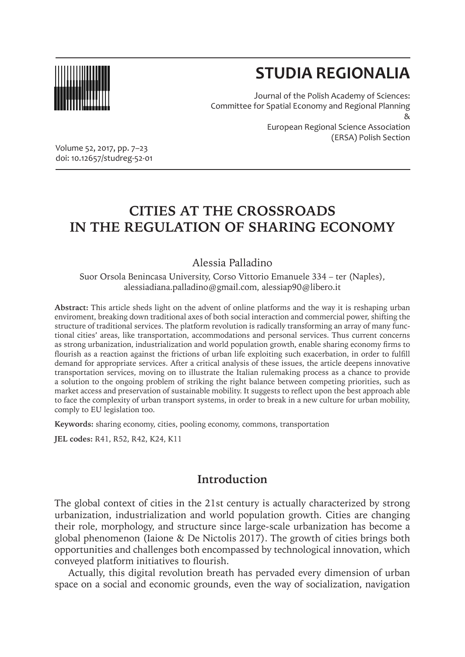

# **STUDIA REGIONALIA**

Journal of the Polish Academy of Sciences: Committee for Spatial Economy and Regional Planning & European Regional Science Association (ERSA) Polish Section

Volume 52, 2017, pp. 7–23 doi: 10.12657/studreg-52-01

## **CITIES AT THE CROSSROADS IN THE REGULATION OF SHARING ECONOMY**

Alessia Palladino

Suor Orsola Benincasa University, Corso Vittorio Emanuele 334 – ter (Naples), alessiadiana.palladino@gmail.com, alessiap90@libero.it

**Abstract:** This article sheds light on the advent of online platforms and the way it is reshaping urban enviroment, breaking down traditional axes of both social interaction and commercial power, shifting the structure of traditional services. The platform revolution is radically transforming an array of many functional cities' areas, like transportation, accommodations and personal services. Thus current concerns as strong urbanization, industrialization and world population growth, enable sharing economy firms to flourish as a reaction against the frictions of urban life exploiting such exacerbation, in order to fulfill demand for appropriate services. After a critical analysis of these issues, the article deepens innovative transportation services, moving on to illustrate the Italian rulemaking process as a chance to provide a solution to the ongoing problem of striking the right balance between competing priorities, such as market access and preservation of sustainable mobility. It suggests to reflect upon the best approach able to face the complexity of urban transport systems, in order to break in a new culture for urban mobility, comply to EU legislation too.

**Keywords:** sharing economy, cities, pooling economy, commons, transportation

**JEL codes:** R41, R52, R42, K24, K11

#### **Introduction**

The global context of cities in the 21st century is actually characterized by strong urbanization, industrialization and world population growth. Cities are changing their role, morphology, and structure since large-scale urbanization has become a global phenomenon (Iaione & De Nictolis 2017). The growth of cities brings both opportunities and challenges both encompassed by technological innovation, which conveyed platform initiatives to flourish.

Actually, this digital revolution breath has pervaded every dimension of urban space on a social and economic grounds, even the way of socialization, navigation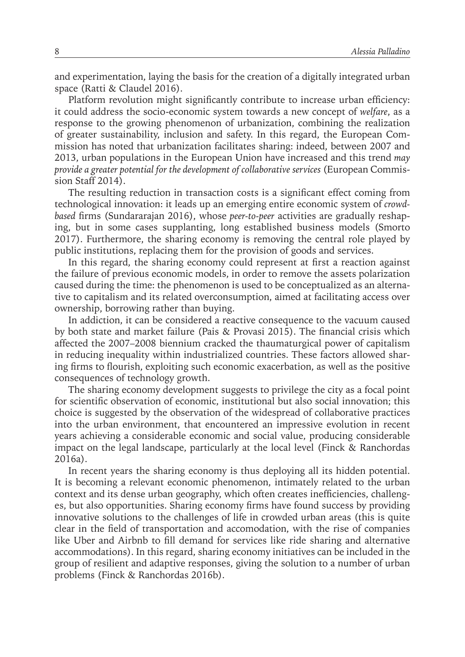and experimentation, laying the basis for the creation of a digitally integrated urban space (Ratti & Claudel 2016).

Platform revolution might significantly contribute to increase urban efficiency: it could address the socio-economic system towards a new concept of *welfare*, as a response to the growing phenomenon of urbanization, combining the realization of greater sustainability, inclusion and safety. In this regard, the European Commission has noted that urbanization facilitates sharing: indeed, between 2007 and 2013, urban populations in the European Union have increased and this trend *may provide a greater potential for the development of collaborative services* (European Commission Staff 2014).

The resulting reduction in transaction costs is a significant effect coming from technological innovation: it leads up an emerging entire economic system of *crowdbased* firms (Sundararajan 2016), whose *peer-to-peer* activities are gradually reshaping, but in some cases supplanting, long established business models (Smorto 2017). Furthermore, the sharing economy is removing the central role played by public institutions, replacing them for the provision of goods and services.

In this regard, the sharing economy could represent at first a reaction against the failure of previous economic models, in order to remove the assets polarization caused during the time: the phenomenon is used to be conceptualized as an alternative to capitalism and its related overconsumption, aimed at facilitating access over ownership, borrowing rather than buying.

In addiction, it can be considered a reactive consequence to the vacuum caused by both state and market failure (Pais & Provasi 2015). The financial crisis which affected the 2007–2008 biennium cracked the thaumaturgical power of capitalism in reducing inequality within industrialized countries. These factors allowed sharing firms to flourish, exploiting such economic exacerbation, as well as the positive consequences of technology growth.

The sharing economy development suggests to privilege the city as a focal point for scientific observation of economic, institutional but also social innovation; this choice is suggested by the observation of the widespread of collaborative practices into the urban environment, that encountered an impressive evolution in recent years achieving a considerable economic and social value, producing considerable impact on the legal landscape, particularly at the local level (Finck & Ranchordas 2016a).

In recent years the sharing economy is thus deploying all its hidden potential. It is becoming a relevant economic phenomenon, intimately related to the urban context and its dense urban geography, which often creates inefficiencies, challenges, but also opportunities. Sharing economy firms have found success by providing innovative solutions to the challenges of life in crowded urban areas (this is quite clear in the field of transportation and accomodation, with the rise of companies like Uber and Airbnb to fill demand for services like ride sharing and alternative accommodations). In this regard, sharing economy initiatives can be included in the group of resilient and adaptive responses, giving the solution to a number of urban problems (Finck & Ranchordas 2016b).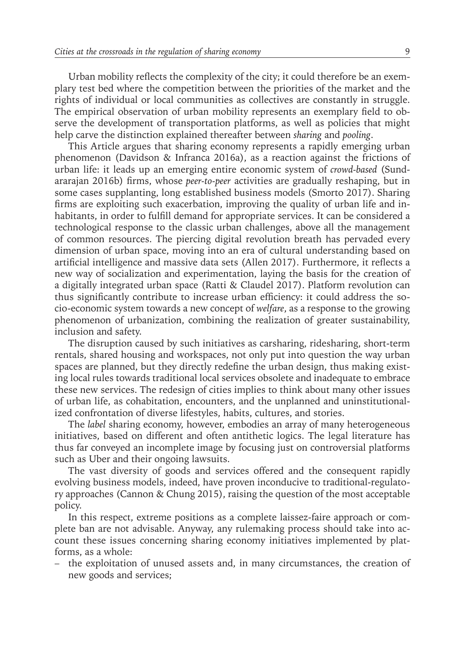Urban mobility reflects the complexity of the city; it could therefore be an exemplary test bed where the competition between the priorities of the market and the rights of individual or local communities as collectives are constantly in struggle. The empirical observation of urban mobility represents an exemplary field to observe the development of transportation platforms, as well as policies that might help carve the distinction explained thereafter between *sharing* and *pooling*.

This Article argues that sharing economy represents a rapidly emerging urban phenomenon (Davidson & Infranca 2016a), as a reaction against the frictions of urban life: it leads up an emerging entire economic system of *crowd-based* (Sundararajan 2016b) firms, whose *peer-to-peer* activities are gradually reshaping, but in some cases supplanting, long established business models (Smorto 2017). Sharing firms are exploiting such exacerbation, improving the quality of urban life and inhabitants, in order to fulfill demand for appropriate services. It can be considered a technological response to the classic urban challenges, above all the management of common resources. The piercing digital revolution breath has pervaded every dimension of urban space, moving into an era of cultural understanding based on artificial intelligence and massive data sets (Allen 2017). Furthermore, it reflects a new way of socialization and experimentation, laying the basis for the creation of a digitally integrated urban space (Ratti & Claudel 2017). Platform revolution can thus significantly contribute to increase urban efficiency: it could address the socio-economic system towards a new concept of *welfare*, as a response to the growing phenomenon of urbanization, combining the realization of greater sustainability, inclusion and safety.

The disruption caused by such initiatives as carsharing, ridesharing, short-term rentals, shared housing and workspaces, not only put into question the way urban spaces are planned, but they directly redefine the urban design, thus making existing local rules towards traditional local services obsolete and inadequate to embrace these new services. The redesign of cities implies to think about many other issues of urban life, as cohabitation, encounters, and the unplanned and uninstitutionalized confrontation of diverse lifestyles, habits, cultures, and stories.

The *label* sharing economy, however, embodies an array of many heterogeneous initiatives, based on different and often antithetic logics. The legal literature has thus far conveyed an incomplete image by focusing just on controversial platforms such as Uber and their ongoing lawsuits.

The vast diversity of goods and services offered and the consequent rapidly evolving business models, indeed, have proven inconducive to traditional-regulatory approaches (Cannon & Chung 2015), raising the question of the most acceptable policy.

In this respect, extreme positions as a complete laissez-faire approach or complete ban are not advisable. Anyway, any rulemaking process should take into account these issues concerning sharing economy initiatives implemented by platforms, as a whole:

– the exploitation of unused assets and, in many circumstances, the creation of new goods and services;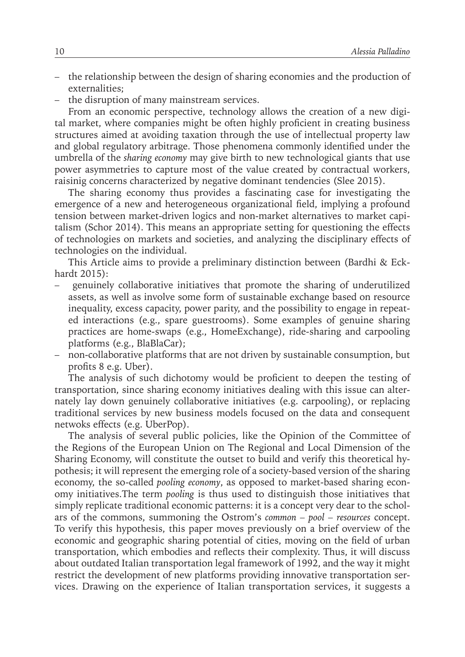- the relationship between the design of sharing economies and the production of externalities;
- the disruption of many mainstream services.

From an economic perspective, technology allows the creation of a new digital market, where companies might be often highly proficient in creating business structures aimed at avoiding taxation through the use of intellectual property law and global regulatory arbitrage. Those phenomena commonly identified under the umbrella of the *sharing economy* may give birth to new technological giants that use power asymmetries to capture most of the value created by contractual workers, raisinig concerns characterized by negative dominant tendencies (Slee 2015).

The sharing economy thus provides a fascinating case for investigating the emergence of a new and heterogeneous organizational field, implying a profound tension between market-driven logics and non-market alternatives to market capitalism (Schor 2014). This means an appropriate setting for questioning the effects of technologies on markets and societies, and analyzing the disciplinary effects of technologies on the individual.

This Article aims to provide a preliminary distinction between (Bardhi & Eckhardt 2015):

- genuinely collaborative initiatives that promote the sharing of underutilized assets, as well as involve some form of sustainable exchange based on resource inequality, excess capacity, power parity, and the possibility to engage in repeated interactions (e.g., spare guestrooms). Some examples of genuine sharing practices are home-swaps (e.g., HomeExchange), ride-sharing and carpooling platforms (e.g., BlaBlaCar);
- non-collaborative platforms that are not driven by sustainable consumption, but profits 8 e.g. Uber).

The analysis of such dichotomy would be proficient to deepen the testing of transportation, since sharing economy initiatives dealing with this issue can alternately lay down genuinely collaborative initiatives (e.g. carpooling), or replacing traditional services by new business models focused on the data and consequent netwoks effects (e.g. UberPop).

The analysis of several public policies, like the Opinion of the Committee of the Regions of the European Union on The Regional and Local Dimension of the Sharing Economy, will constitute the outset to build and verify this theoretical hypothesis; it will represent the emerging role of a society-based version of the sharing economy, the so-called *pooling economy*, as opposed to market-based sharing economy initiatives.The term *pooling* is thus used to distinguish those initiatives that simply replicate traditional economic patterns: it is a concept very dear to the scholars of the commons, summoning the Ostrom's *common – pool – resources* concept. To verify this hypothesis, this paper moves previously on a brief overview of the economic and geographic sharing potential of cities, moving on the field of urban transportation, which embodies and reflects their complexity. Thus, it will discuss about outdated Italian transportation legal framework of 1992, and the way it might restrict the development of new platforms providing innovative transportation services. Drawing on the experience of Italian transportation services, it suggests a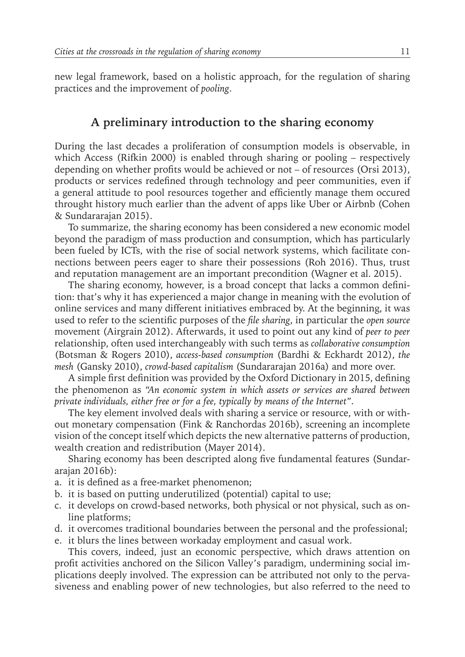new legal framework, based on a holistic approach, for the regulation of sharing practices and the improvement of *pooling*.

### **A preliminary introduction to the sharing economy**

During the last decades a proliferation of consumption models is observable, in which Access (Rifkin 2000) is enabled through sharing or pooling – respectively depending on whether profits would be achieved or not – of resources (Orsi 2013), products or services redefined through technology and peer communities, even if a general attitude to pool resources together and efficiently manage them occured throught history much earlier than the advent of apps like Uber or Airbnb (Cohen & Sundararajan 2015).

To summarize, the sharing economy has been considered a new economic model beyond the paradigm of mass production and consumption, which has particularly been fueled by ICTs, with the rise of social network systems, which facilitate connections between peers eager to share their possessions (Roh 2016). Thus, trust and reputation management are an important precondition (Wagner et al. 2015).

The sharing economy, however, is a broad concept that lacks a common definition: that's why it has experienced a major change in meaning with the evolution of online services and many different initiatives embraced by. At the beginning, it was used to refer to the scientific purposes of the *file sharing*, in particular the *open source*  movement (Airgrain 2012). Afterwards, it used to point out any kind of *peer to peer*  relationship, often used interchangeably with such terms as *collaborative consumption*  (Botsman & Rogers 2010), *access-based consumption* (Bardhi & Eckhardt 2012), *the mesh* (Gansky 2010), *crowd-based capitalism* (Sundararajan 2016a) and more over.

A simple first definition was provided by the Oxford Dictionary in 2015, defining the phenomenon as *"An economic system in which assets or services are shared between private individuals, either free or for a fee, typically by means of the Internet"*.

The key element involved deals with sharing a service or resource, with or without monetary compensation (Fink & Ranchordas 2016b), screening an incomplete vision of the concept itself which depicts the new alternative patterns of production, wealth creation and redistribution (Mayer 2014).

Sharing economy has been descripted along five fundamental features (Sundararajan 2016b):

- a. it is defined as a free-market phenomenon;
- b. it is based on putting underutilized (potential) capital to use;
- c. it develops on crowd-based networks, both physical or not physical, such as online platforms;
- d. it overcomes traditional boundaries between the personal and the professional;
- e. it blurs the lines between workaday employment and casual work.

This covers, indeed, just an economic perspective, which draws attention on profit activities anchored on the Silicon Valley's paradigm, undermining social implications deeply involved. The expression can be attributed not only to the pervasiveness and enabling power of new technologies, but also referred to the need to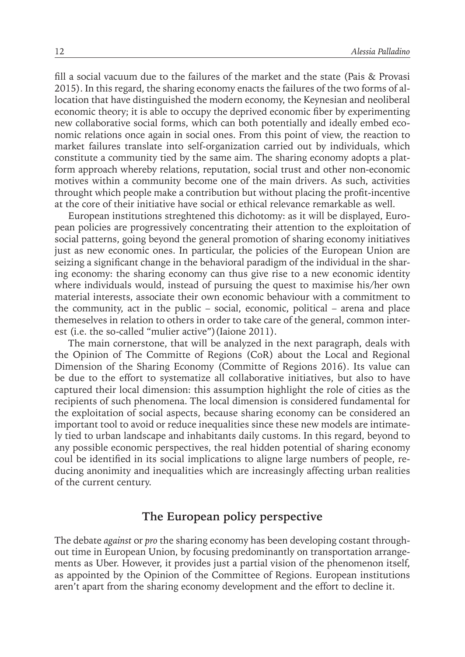fill a social vacuum due to the failures of the market and the state (Pais & Provasi 2015). In this regard, the sharing economy enacts the failures of the two forms of allocation that have distinguished the modern economy, the Keynesian and neoliberal economic theory; it is able to occupy the deprived economic fiber by experimenting new collaborative social forms, which can both potentially and ideally embed economic relations once again in social ones. From this point of view, the reaction to market failures translate into self-organization carried out by individuals, which constitute a community tied by the same aim. The sharing economy adopts a platform approach whereby relations, reputation, social trust and other non-economic motives within a community become one of the main drivers. As such, activities throught which people make a contribution but without placing the profit-incentive at the core of their initiative have social or ethical relevance remarkable as well.

European institutions streghtened this dichotomy: as it will be displayed, European policies are progressively concentrating their attention to the exploitation of social patterns, going beyond the general promotion of sharing economy initiatives just as new economic ones. In particular, the policies of the European Union are seizing a significant change in the behavioral paradigm of the individual in the sharing economy: the sharing economy can thus give rise to a new economic identity where individuals would, instead of pursuing the quest to maximise his/her own material interests, associate their own economic behaviour with a commitment to the community, act in the public – social, economic, political – arena and place themeselves in relation to others in order to take care of the general, common interest (i.e. the so-called "mulier active")(Iaione 2011).

The main cornerstone, that will be analyzed in the next paragraph, deals with the Opinion of The Committe of Regions (CoR) about the Local and Regional Dimension of the Sharing Economy (Committe of Regions 2016). Its value can be due to the effort to systematize all collaborative initiatives, but also to have captured their local dimension: this assumption highlight the role of cities as the recipients of such phenomena. The local dimension is considered fundamental for the exploitation of social aspects, because sharing economy can be considered an important tool to avoid or reduce inequalities since these new models are intimately tied to urban landscape and inhabitants daily customs. In this regard, beyond to any possible economic perspectives, the real hidden potential of sharing economy coul be identified in its social implications to aligne large numbers of people, reducing anonimity and inequalities which are increasingly affecting urban realities of the current century.

#### **The European policy perspective**

The debate *against* or *pro* the sharing economy has been developing costant throughout time in European Union, by focusing predominantly on transportation arrangements as Uber. However, it provides just a partial vision of the phenomenon itself, as appointed by the Opinion of the Committee of Regions. European institutions aren't apart from the sharing economy development and the effort to decline it.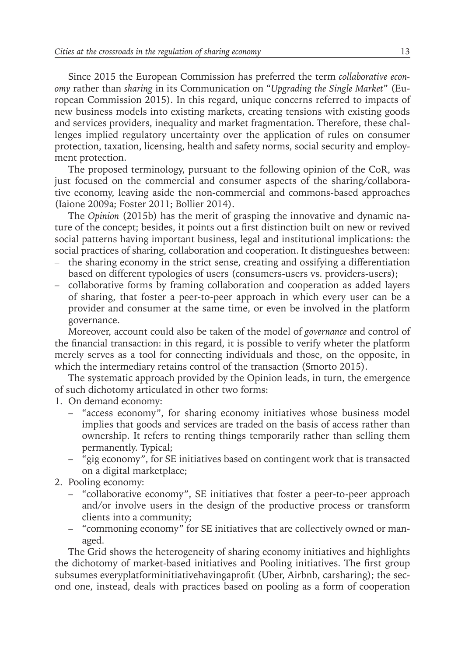Since 2015 the European Commission has preferred the term *collaborative economy* rather than *sharing* in its Communication on "*Upgrading the Single Market*" (European Commission 2015). In this regard, unique concerns referred to impacts of new business models into existing markets, creating tensions with existing goods and services providers, inequality and market fragmentation. Therefore, these challenges implied regulatory uncertainty over the application of rules on consumer protection, taxation, licensing, health and safety norms, social security and employment protection.

The proposed terminology, pursuant to the following opinion of the CoR, was just focused on the commercial and consumer aspects of the sharing/collaborative economy, leaving aside the non-commercial and commons-based approaches (Iaione 2009a; Foster 2011; Bollier 2014).

The *Opinion* (2015b) has the merit of grasping the innovative and dynamic nature of the concept; besides, it points out a first distinction built on new or revived social patterns having important business, legal and institutional implications: the social practices of sharing, collaboration and cooperation. It distingueshes between:

- the sharing economy in the strict sense, creating and ossifying a differentiation based on different typologies of users (consumers-users vs. providers-users);
- collaborative forms by framing collaboration and cooperation as added layers of sharing, that foster a peer-to-peer approach in which every user can be a provider and consumer at the same time, or even be involved in the platform governance.

Moreover, account could also be taken of the model of *governance* and control of the financial transaction: in this regard, it is possible to verify wheter the platform merely serves as a tool for connecting individuals and those, on the opposite, in which the intermediary retains control of the transaction (Smorto 2015).

The systematic approach provided by the Opinion leads, in turn, the emergence of such dichotomy articulated in other two forms:

- 1. On demand economy:
	- "access economy", for sharing economy initiatives whose business model implies that goods and services are traded on the basis of access rather than ownership. It refers to renting things temporarily rather than selling them permanently. Typical;
	- "gig economy", for SE initiatives based on contingent work that is transacted on a digital marketplace;
- 2. Pooling economy:
	- "collaborative economy", SE initiatives that foster a peer-to-peer approach and/or involve users in the design of the productive process or transform clients into a community;
	- "commoning economy" for SE initiatives that are collectively owned or managed.

The Grid shows the heterogeneity of sharing economy initiatives and highlights the dichotomy of market-based initiatives and Pooling initiatives. The first group subsumes everyplatforminitiativehavingaprofit (Uber, Airbnb, carsharing); the second one, instead, deals with practices based on pooling as a form of cooperation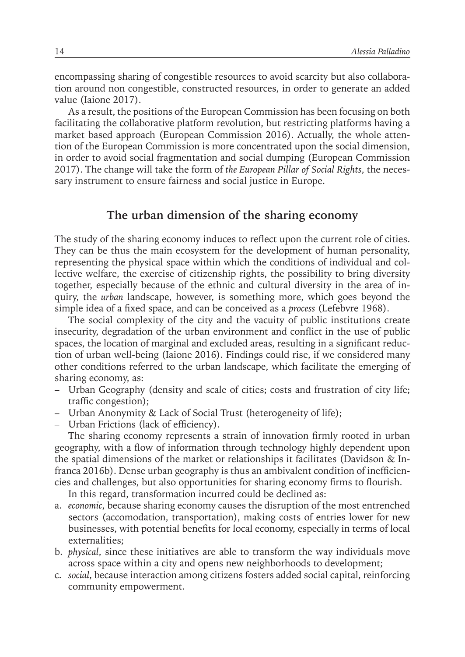encompassing sharing of congestible resources to avoid scarcity but also collaboration around non congestible, constructed resources, in order to generate an added value (Iaione 2017).

As a result, the positions of the European Commission has been focusing on both facilitating the collaborative platform revolution, but restricting platforms having a market based approach (European Commission 2016). Actually, the whole attention of the European Commission is more concentrated upon the social dimension, in order to avoid social fragmentation and social dumping (European Commission 2017). The change will take the form of *the European Pillar of Social Rights*, the necessary instrument to ensure fairness and social justice in Europe.

#### **The urban dimension of the sharing economy**

The study of the sharing economy induces to reflect upon the current role of cities. They can be thus the main ecosystem for the development of human personality, representing the physical space within which the conditions of individual and collective welfare, the exercise of citizenship rights, the possibility to bring diversity together, especially because of the ethnic and cultural diversity in the area of inquiry, the *urban* landscape, however, is something more, which goes beyond the simple idea of a fixed space, and can be conceived as a *process* (Lefebvre 1968).

The social complexity of the city and the vacuity of public institutions create insecurity, degradation of the urban environment and conflict in the use of public spaces, the location of marginal and excluded areas, resulting in a significant reduction of urban well-being (Iaione 2016). Findings could rise, if we considered many other conditions referred to the urban landscape, which facilitate the emerging of sharing economy, as:

- Urban Geography (density and scale of cities; costs and frustration of city life; traffic congestion);
- Urban Anonymity & Lack of Social Trust (heterogeneity of life);
- Urban Frictions (lack of efficiency).

The sharing economy represents a strain of innovation firmly rooted in urban geography, with a flow of information through technology highly dependent upon the spatial dimensions of the market or relationships it facilitates (Davidson & Infranca 2016b). Dense urban geography is thus an ambivalent condition of inefficiencies and challenges, but also opportunities for sharing economy firms to flourish.

In this regard, transformation incurred could be declined as:

- a. *economic*, because sharing economy causes the disruption of the most entrenched sectors (accomodation, transportation), making costs of entries lower for new businesses, with potential benefits for local economy, especially in terms of local externalities;
- b. *physical*, since these initiatives are able to transform the way individuals move across space within a city and opens new neighborhoods to development;
- c. *social*, because interaction among citizens fosters added social capital, reinforcing community empowerment.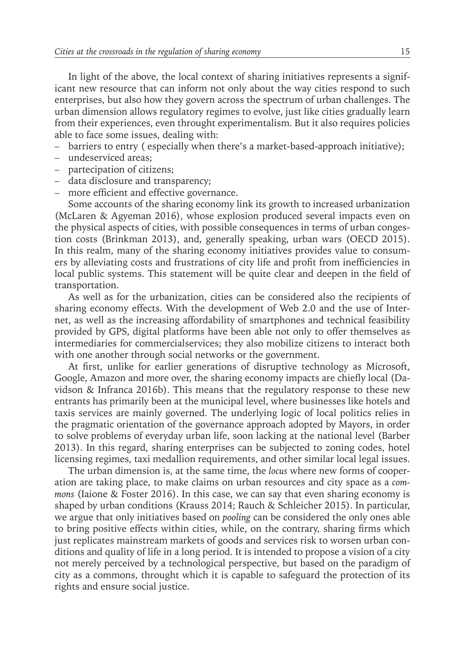In light of the above, the local context of sharing initiatives represents a significant new resource that can inform not only about the way cities respond to such enterprises, but also how they govern across the spectrum of urban challenges. The urban dimension allows regulatory regimes to evolve, just like cities gradually learn from their experiences, even throught experimentalism. But it also requires policies able to face some issues, dealing with:

- barriers to entry ( especially when there's a market-based-approach initiative);
- undeserviced areas;
- partecipation of citizens;
- data disclosure and transparency;
- more efficient and effective governance.

Some accounts of the sharing economy link its growth to increased urbanization (McLaren & Agyeman 2016), whose explosion produced several impacts even on the physical aspects of cities, with possible consequences in terms of urban congestion costs (Brinkman 2013), and, generally speaking, urban wars (OECD 2015). In this realm, many of the sharing economy initiatives provides value to consumers by alleviating costs and frustrations of city life and profit from inefficiencies in local public systems. This statement will be quite clear and deepen in the field of transportation.

As well as for the urbanization, cities can be considered also the recipients of sharing economy effects. With the development of Web 2.0 and the use of Internet, as well as the increasing affordability of smartphones and technical feasibility provided by GPS, digital platforms have been able not only to offer themselves as intermediaries for commercialservices; they also mobilize citizens to interact both with one another through social networks or the government.

At first, unlike for earlier generations of disruptive technology as Microsoft, Google, Amazon and more over, the sharing economy impacts are chiefly local (Davidson & Infranca 2016b). This means that the regulatory response to these new entrants has primarily been at the municipal level, where businesses like hotels and taxis services are mainly governed. The underlying logic of local politics relies in the pragmatic orientation of the governance approach adopted by Mayors, in order to solve problems of everyday urban life, soon lacking at the national level (Barber 2013). In this regard, sharing enterprises can be subjected to zoning codes, hotel licensing regimes, taxi medallion requirements, and other similar local legal issues.

The urban dimension is, at the same time, the *locus* where new forms of cooperation are taking place, to make claims on urban resources and city space as a *commons* (Iaione & Foster 2016). In this case, we can say that even sharing economy is shaped by urban conditions (Krauss 2014; Rauch & Schleicher 2015). In particular, we argue that only initiatives based on *pooling* can be considered the only ones able to bring positive effects within cities, while, on the contrary, sharing firms which just replicates mainstream markets of goods and services risk to worsen urban conditions and quality of life in a long period. It is intended to propose a vision of a city not merely perceived by a technological perspective, but based on the paradigm of city as a commons, throught which it is capable to safeguard the protection of its rights and ensure social justice.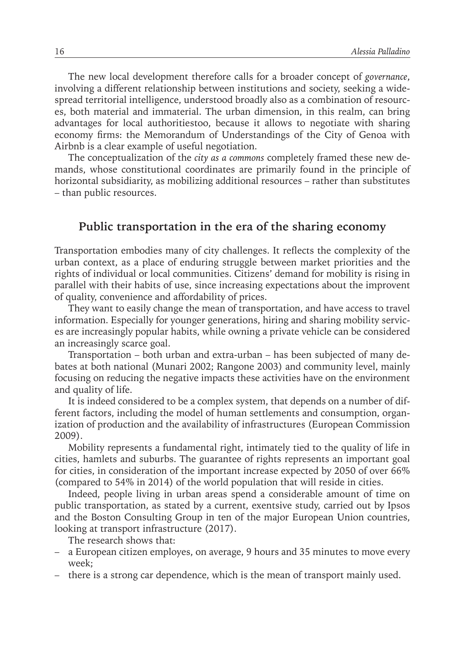The new local development therefore calls for a broader concept of *governance*, involving a different relationship between institutions and society, seeking a widespread territorial intelligence, understood broadly also as a combination of resources, both material and immaterial. The urban dimension, in this realm, can bring advantages for local authoritiestoo, because it allows to negotiate with sharing economy firms: the Memorandum of Understandings of the City of Genoa with Airbnb is a clear example of useful negotiation.

The conceptualization of the *city as a commons* completely framed these new demands, whose constitutional coordinates are primarily found in the principle of horizontal subsidiarity, as mobilizing additional resources – rather than substitutes – than public resources.

#### **Public transportation in the era of the sharing economy**

Transportation embodies many of city challenges. It reflects the complexity of the urban context, as a place of enduring struggle between market priorities and the rights of individual or local communities. Citizens' demand for mobility is rising in parallel with their habits of use, since increasing expectations about the improvent of quality, convenience and affordability of prices.

They want to easily change the mean of transportation, and have access to travel information. Especially for younger generations, hiring and sharing mobility services are increasingly popular habits, while owning a private vehicle can be considered an increasingly scarce goal.

Transportation – both urban and extra-urban – has been subjected of many debates at both national (Munari 2002; Rangone 2003) and community level, mainly focusing on reducing the negative impacts these activities have on the environment and quality of life.

It is indeed considered to be a complex system, that depends on a number of different factors, including the model of human settlements and consumption, organization of production and the availability of infrastructures (European Commission 2009).

Mobility represents a fundamental right, intimately tied to the quality of life in cities, hamlets and suburbs. The guarantee of rights represents an important goal for cities, in consideration of the important increase expected by 2050 of over 66% (compared to 54% in 2014) of the world population that will reside in cities.

Indeed, people living in urban areas spend a considerable amount of time on public transportation, as stated by a current, exentsive study, carried out by Ipsos and the Boston Consulting Group in ten of the major European Union countries, looking at transport infrastructure (2017).

The research shows that:

- a European citizen employes, on average, 9 hours and 35 minutes to move every week;
- there is a strong car dependence, which is the mean of transport mainly used.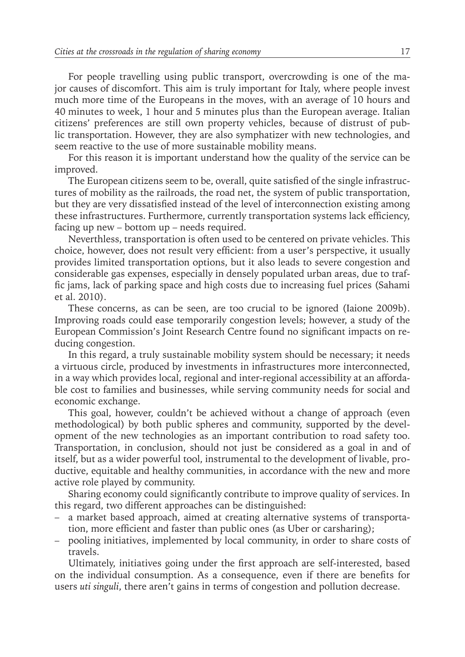For people travelling using public transport, overcrowding is one of the major causes of discomfort. This aim is truly important for Italy, where people invest much more time of the Europeans in the moves, with an average of 10 hours and 40 minutes to week, 1 hour and 5 minutes plus than the European average. Italian citizens' preferences are still own property vehicles, because of distrust of public transportation. However, they are also symphatizer with new technologies, and seem reactive to the use of more sustainable mobility means.

For this reason it is important understand how the quality of the service can be improved.

The European citizens seem to be, overall, quite satisfied of the single infrastructures of mobility as the railroads, the road net, the system of public transportation, but they are very dissatisfied instead of the level of interconnection existing among these infrastructures. Furthermore, currently transportation systems lack efficiency, facing up new – bottom up – needs required.

Neverthless, transportation is often used to be centered on private vehicles. This choice, however, does not result very efficient: from a user's perspective, it usually provides limited transportation options, but it also leads to severe congestion and considerable gas expenses, especially in densely populated urban areas, due to traffic jams, lack of parking space and high costs due to increasing fuel prices (Sahami et al. 2010).

These concerns, as can be seen, are too crucial to be ignored (Iaione 2009b). Improving roads could ease temporarily congestion levels; however, a study of the European Commission's Joint Research Centre found no significant impacts on reducing congestion.

In this regard, a truly sustainable mobility system should be necessary; it needs a virtuous circle, produced by investments in infrastructures more interconnected, in a way which provides local, regional and inter-regional accessibility at an affordable cost to families and businesses, while serving community needs for social and economic exchange.

This goal, however, couldn't be achieved without a change of approach (even methodological) by both public spheres and community, supported by the development of the new technologies as an important contribution to road safety too. Transportation, in conclusion, should not just be considered as a goal in and of itself, but as a wider powerful tool, instrumental to the development of livable, productive, equitable and healthy communities, in accordance with the new and more active role played by community.

Sharing economy could significantly contribute to improve quality of services. In this regard, two different approaches can be distinguished:

- a market based approach, aimed at creating alternative systems of transportation, more efficient and faster than public ones (as Uber or carsharing);
- pooling initiatives, implemented by local community, in order to share costs of travels.

Ultimately, initiatives going under the first approach are self-interested, based on the individual consumption. As a consequence, even if there are benefits for users *uti singuli*, there aren't gains in terms of congestion and pollution decrease.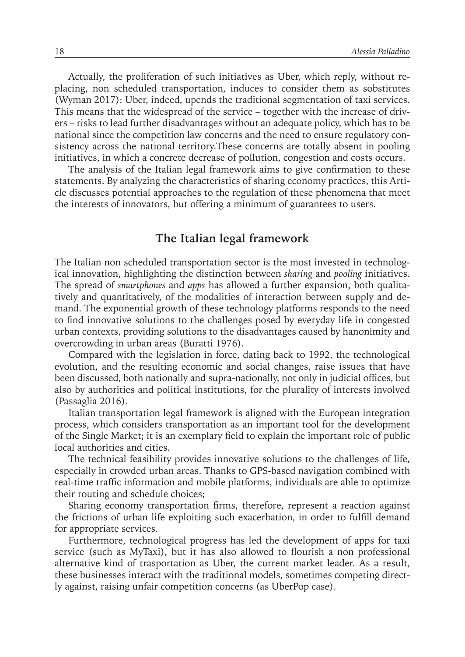Actually, the proliferation of such initiatives as Uber, which reply, without replacing, non scheduled transportation, induces to consider them as sobstitutes (Wyman 2017): Uber, indeed, upends the traditional segmentation of taxi services. This means that the widespread of the service – together with the increase of drivers – risks to lead further disadvantages without an adequate policy, which has to be national since the competition law concerns and the need to ensure regulatory consistency across the national territory.These concerns are totally absent in pooling initiatives, in which a concrete decrease of pollution, congestion and costs occurs.

The analysis of the Italian legal framework aims to give confirmation to these statements. By analyzing the characteristics of sharing economy practices, this Article discusses potential approaches to the regulation of these phenomena that meet the interests of innovators, but offering a minimum of guarantees to users.

#### **The Italian legal framework**

The Italian non scheduled transportation sector is the most invested in technological innovation, highlighting the distinction between *sharing* and *pooling* initiatives. The spread of *smartphones* and *apps* has allowed a further expansion, both qualitatively and quantitatively, of the modalities of interaction between supply and demand. The exponential growth of these technology platforms responds to the need to find innovative solutions to the challenges posed by everyday life in congested urban contexts, providing solutions to the disadvantages caused by hanonimity and overcrowding in urban areas (Buratti 1976).

Compared with the legislation in force, dating back to 1992, the technological evolution, and the resulting economic and social changes, raise issues that have been discussed, both nationally and supra-nationally, not only in judicial offices, but also by authorities and political institutions, for the plurality of interests involved (Passaglia 2016).

Italian transportation legal framework is aligned with the European integration process, which considers transportation as an important tool for the development of the Single Market; it is an exemplary field to explain the important role of public local authorities and cities.

The technical feasibility provides innovative solutions to the challenges of life, especially in crowded urban areas. Thanks to GPS-based navigation combined with real-time traffic information and mobile platforms, individuals are able to optimize their routing and schedule choices;

Sharing economy transportation firms, therefore, represent a reaction against the frictions of urban life exploiting such exacerbation, in order to fulfill demand for appropriate services.

Furthermore, technological progress has led the development of apps for taxi service (such as MyTaxi), but it has also allowed to flourish a non professional alternative kind of trasportation as Uber, the current market leader. As a result, these businesses interact with the traditional models, sometimes competing directly against, raising unfair competition concerns (as UberPop case).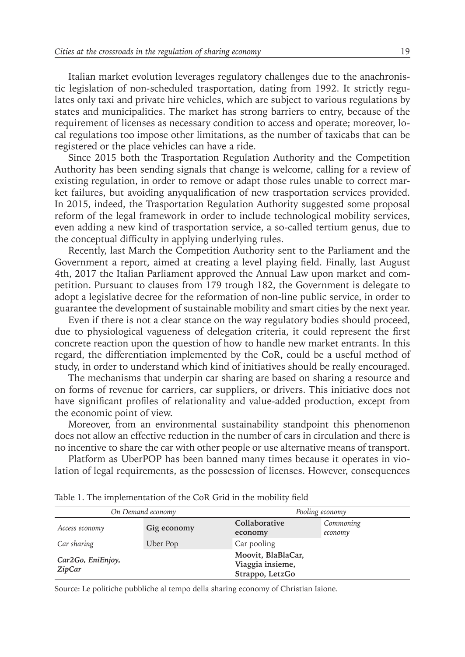Italian market evolution leverages regulatory challenges due to the anachronistic legislation of non-scheduled trasportation, dating from 1992. It strictly regulates only taxi and private hire vehicles, which are subject to various regulations by states and municipalities. The market has strong barriers to entry, because of the requirement of licenses as necessary condition to access and operate; moreover, local regulations too impose other limitations, as the number of taxicabs that can be registered or the place vehicles can have a ride.

Since 2015 both the Trasportation Regulation Authority and the Competition Authority has been sending signals that change is welcome, calling for a review of existing regulation, in order to remove or adapt those rules unable to correct market failures, but avoiding anyqualification of new trasportation services provided. In 2015, indeed, the Trasportation Regulation Authority suggested some proposal reform of the legal framework in order to include technological mobility services, even adding a new kind of trasportation service, a so-called tertium genus, due to the conceptual difficulty in applying underlying rules.

Recently, last March the Competition Authority sent to the Parliament and the Government a report, aimed at creating a level playing field. Finally, last August 4th, 2017 the Italian Parliament approved the Annual Law upon market and competition. Pursuant to clauses from 179 trough 182, the Government is delegate to adopt a legislative decree for the reformation of non-line public service, in order to guarantee the development of sustainable mobility and smart cities by the next year.

Even if there is not a clear stance on the way regulatory bodies should proceed, due to physiological vagueness of delegation criteria, it could represent the first concrete reaction upon the question of how to handle new market entrants. In this regard, the differentiation implemented by the CoR, could be a useful method of study, in order to understand which kind of initiatives should be really encouraged.

The mechanisms that underpin car sharing are based on sharing a resource and on forms of revenue for carriers, car suppliers, or drivers. This initiative does not have significant profiles of relationality and value-added production, except from the economic point of view.

Moreover, from an environmental sustainability standpoint this phenomenon does not allow an effective reduction in the number of cars in circulation and there is no incentive to share the car with other people or use alternative means of transport.

Platform as UberPOP has been banned many times because it operates in violation of legal requirements, as the possession of licenses. However, consequences

| On Demand economy           |             | Pooling economy                                           |                      |
|-----------------------------|-------------|-----------------------------------------------------------|----------------------|
| Access economy              | Gig economy | Collaborative<br>economy                                  | Commoning<br>economy |
| Car sharing                 | Uber Pop    | Car pooling                                               |                      |
| Car2Go, EniEnjoy,<br>ZipCar |             | Moovit, BlaBlaCar,<br>Viaggia insieme,<br>Strappo, LetzGo |                      |

Table 1. The implementation of the CoR Grid in the mobility field

Source: Le politiche pubbliche al tempo della sharing economy of Christian Iaione.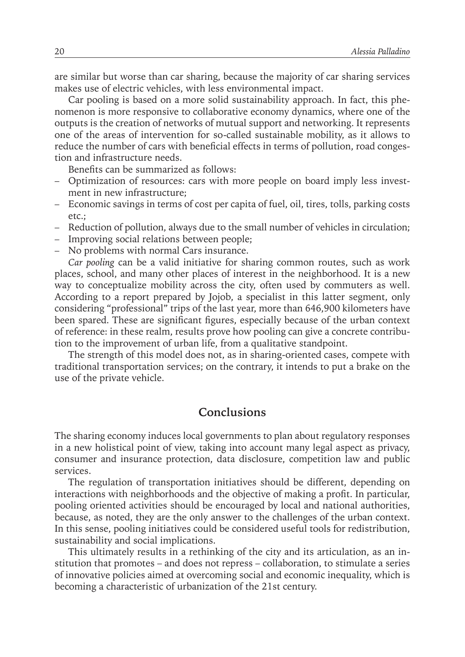are similar but worse than car sharing, because the majority of car sharing services makes use of electric vehicles, with less environmental impact.

Car pooling is based on a more solid sustainability approach. In fact, this phenomenon is more responsive to collaborative economy dynamics, where one of the outputs is the creation of networks of mutual support and networking. It represents one of the areas of intervention for so-called sustainable mobility, as it allows to reduce the number of cars with beneficial effects in terms of pollution, road congestion and infrastructure needs.

Benefits can be summarized as follows:

- Optimization of resources: cars with more people on board imply less investment in new infrastructure;
- Economic savings in terms of cost per capita of fuel, oil, tires, tolls, parking costs etc.;
- Reduction of pollution, always due to the small number of vehicles in circulation;
- Improving social relations between people;
- No problems with normal Cars insurance.

*Car pooling* can be a valid initiative for sharing common routes, such as work places, school, and many other places of interest in the neighborhood. It is a new way to conceptualize mobility across the city, often used by commuters as well. According to a report prepared by Jojob, a specialist in this latter segment, only considering "professional" trips of the last year, more than 646,900 kilometers have been spared. These are significant figures, especially because of the urban context of reference: in these realm, results prove how pooling can give a concrete contribution to the improvement of urban life, from a qualitative standpoint.

The strength of this model does not, as in sharing-oriented cases, compete with traditional transportation services; on the contrary, it intends to put a brake on the use of the private vehicle.

#### **Conclusions**

The sharing economy induces local governments to plan about regulatory responses in a new holistical point of view, taking into account many legal aspect as privacy, consumer and insurance protection, data disclosure, competition law and public services.

The regulation of transportation initiatives should be different, depending on interactions with neighborhoods and the objective of making a profit. In particular, pooling oriented activities should be encouraged by local and national authorities, because, as noted, they are the only answer to the challenges of the urban context. In this sense, pooling initiatives could be considered useful tools for redistribution, sustainability and social implications.

This ultimately results in a rethinking of the city and its articulation, as an institution that promotes – and does not repress – collaboration, to stimulate a series of innovative policies aimed at overcoming social and economic inequality, which is becoming a characteristic of urbanization of the 21st century.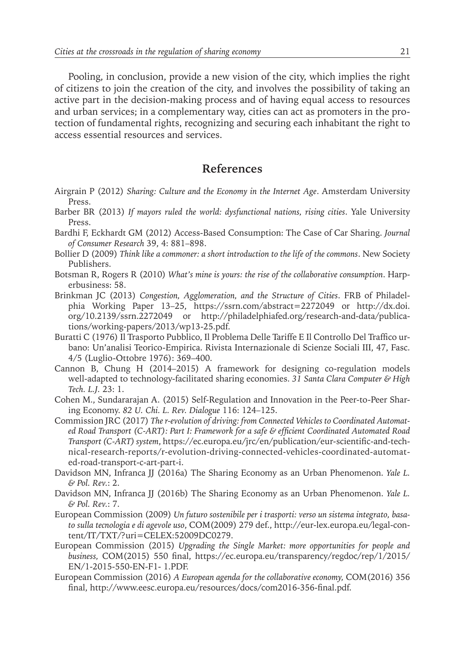Pooling, in conclusion, provide a new vision of the city, which implies the right of citizens to join the creation of the city, and involves the possibility of taking an active part in the decision-making process and of having equal access to resources and urban services; in a complementary way, cities can act as promoters in the protection of fundamental rights, recognizing and securing each inhabitant the right to access essential resources and services.

#### **References**

- Airgrain P (2012) *Sharing: Culture and the Economy in the Internet Age*. Amsterdam University Press.
- Barber BR (2013) *If mayors ruled the world: dysfunctional nations, rising cities*. Yale University Press.
- Bardhi F, Eckhardt GM (2012) Access-Based Consumption: The Case of Car Sharing. *Journal of Consumer Research* 39, 4: 881–898.
- Bollier D (2009) *Think like a commoner: a short introduction to the life of the commons*. New Society Publishers.
- Botsman R, Rogers R (2010) *What's mine is yours: the rise of the collaborative consumption*. Harperbusiness: 58.
- Brinkman JC (2013) *Congestion, Agglomeration, and the Structure of Cities*. FRB of Philadelphia Working Paper 13–25, https://ssrn.com/abstract=2272049 or http://dx.doi. org/10.2139/ssrn.2272049 or http://philadelphiafed.org/research-and-data/publications/working-papers/2013/wp13-25.pdf.
- Buratti C (1976) Il Trasporto Pubblico, Il Problema Delle Tariffe E Il Controllo Del Traffico urbano: Un'analisi Teorico-Empirica. Rivista Internazionale di Scienze Sociali III, 47, Fasc. 4/5 (Luglio-Ottobre 1976): 369–400.
- Cannon B, Chung H (2014–2015) A framework for designing co-regulation models well-adapted to technology-facilitated sharing economies. *31 Santa Clara Computer & High Tech. L.J.* 23: 1.
- Cohen M., Sundararajan A. (2015) Self-Regulation and Innovation in the Peer-to-Peer Sharing Economy. *82 U. Chi. L. Rev. Dialogue* 116: 124–125.
- Commission JRC (2017) *The r-evolution of driving: from Connected Vehicles to Coordinated Automated Road Transport (C-ART): Part I: Framework for a safe & efficient Coordinated Automated Road Transport (C-ART) system*, https://ec.europa.eu/jrc/en/publication/eur-scientific-and-technical-research-reports/r-evolution-driving-connected-vehicles-coordinated-automated-road-transport-c-art-part-i.
- Davidson MN, Infranca JJ (2016a) The Sharing Economy as an Urban Phenomenon. *Yale L. & Pol. Rev.*: 2.
- Davidson MN, Infranca JJ (2016b) The Sharing Economy as an Urban Phenomenon. *Yale L. & Pol. Rev.*: 7.
- European Commission (2009) *Un futuro sostenibile per i trasporti: verso un sistema integrato, basato sulla tecnologia e di agevole uso*, COM(2009) 279 def., http://eur-lex.europa.eu/legal-content/IT/TXT/?uri=CELEX:52009DC0279.
- European Commission (2015) *Upgrading the Single Market: more opportunities for people and business,* COM(2015) 550 final, https://ec.europa.eu/transparency/regdoc/rep/1/2015/ EN/1-2015-550-EN-F1- 1.PDF.
- European Commission (2016) *A European agenda for the collaborative economy,* COM(2016) 356 final, http://www.eesc.europa.eu/resources/docs/com2016-356-final.pdf.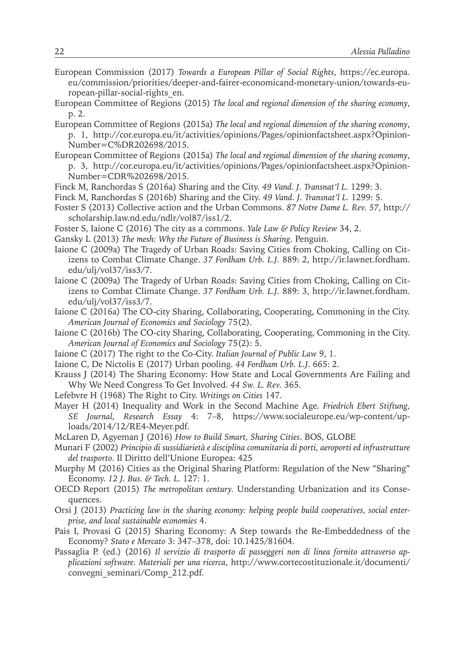- European Commission (2017) *Towards a European Pillar of Social Rights*, https://ec.europa. eu/commission/priorities/deeper-and-fairer-economicand-monetary-union/towards-european-pillar-social-rights\_en.
- European Committee of Regions (2015) *The local and regional dimension of the sharing economy*, p. 2.
- European Committee of Regions (2015a) *The local and regional dimension of the sharing economy*, p. 1, http://cor.europa.eu/it/activities/opinions/Pages/opinionfactsheet.aspx?Opinion-Number=C%DR202698/2015.
- European Committee of Regions (2015a) *The local and regional dimension of the sharing economy*, p. 3, http://cor.europa.eu/it/activities/opinions/Pages/opinionfactsheet.aspx?Opinion-Number=CDR%202698/2015.
- Finck M, Ranchordas S (2016a) Sharing and the City. *49 Vand. J. Transnat'l L.* 1299: 3.
- Finck M, Ranchordas S (2016b) Sharing and the City. *49 Vand. J. Transnat'l L.* 1299: 5.
- Foster S (2013) Collective action and the Urban Commons. *87 Notre Dame L. Rev. 57*, http:// scholarship.law.nd.edu/ndlr/vol87/iss1/2.
- Foster S, Iaione C (2016) The city as a commons. *Yale Law & Policy Review* 34, 2.
- Gansky L (2013) *The mesh: Why the Future of Business is Sharing*. Penguin.
- Iaione C (2009a) The Tragedy of Urban Roads: Saving Cities from Choking, Calling on Citizens to Combat Climate Change. *37 Fordham Urb. L.J.* 889: 2, http://ir.lawnet.fordham. edu/ulj/vol37/iss3/7.
- Iaione C (2009a) The Tragedy of Urban Roads: Saving Cities from Choking, Calling on Citizens to Combat Climate Change. *37 Fordham Urb. L.J.* 889: 3, http://ir.lawnet.fordham. edu/ulj/vol37/iss3/7.
- Iaione C (2016a) The CO-city Sharing, Collaborating, Cooperating, Commoning in the City. *American Journal of Economics and Sociology* 75(2).
- Iaione C (2016b) The CO-city Sharing, Collaborating, Cooperating, Commoning in the City. *American Journal of Economics and Sociology* 75(2): 5.
- Iaione C (2017) The right to the Co-City. *Italian Journal of Public Law* 9, 1.
- Iaione C, De Nictolis E (2017) Urban pooling. *44 Fordham Urb. L.J.* 665: 2.
- Krauss J (2014) The Sharing Economy: How State and Local Governments Are Failing and Why We Need Congress To Get Involved. *44 Sw. L. Rev.* 365.
- Lefebvre H (1968) The Right to City. *Writings on Cities* 147.
- Mayer H (2014) Inequality and Work in the Second Machine Age. *Friedrich Ebert Stiftung, SE Journal, Research Essay* 4: 7–8, https://www.socialeurope.eu/wp-content/uploads/2014/12/RE4-Meyer.pdf.
- McLaren D, Agyeman J (2016) *How to Build Smart, Sharing Cities*. BOS, GLOBE
- Munari F (2002) *Principio di sussidiarietà e disciplina comunitaria di porti, aeroporti ed infrastrutture del trasporto.* Il Diritto dell'Unione Europea: 425
- Murphy M (2016) Cities as the Original Sharing Platform: Regulation of the New "Sharing" Economy. *12 J. Bus. & Tech. L.* 127: 1.
- OECD Report (2015) *The metropolitan century.* Understanding Urbanization and its Consequences.
- Orsi J (2013) *Practicing law in the sharing economy: helping people build cooperatives, social enterprise, and local sustainable economies* 4.
- Pais I, Provasi G (2015) Sharing Economy: A Step towards the Re-Embeddedness of the Economy? *Stato e Mercato* 3: 347–378, doi: 10.1425/81604.
- Passaglia P. (ed.) (2016) *Il servizio di trasporto di passeggeri non di linea fornito attraverso applicazioni software. Materiali per una ricerca*, http://www.cortecostituzionale.it/documenti/ convegni\_seminari/Comp\_212.pdf.